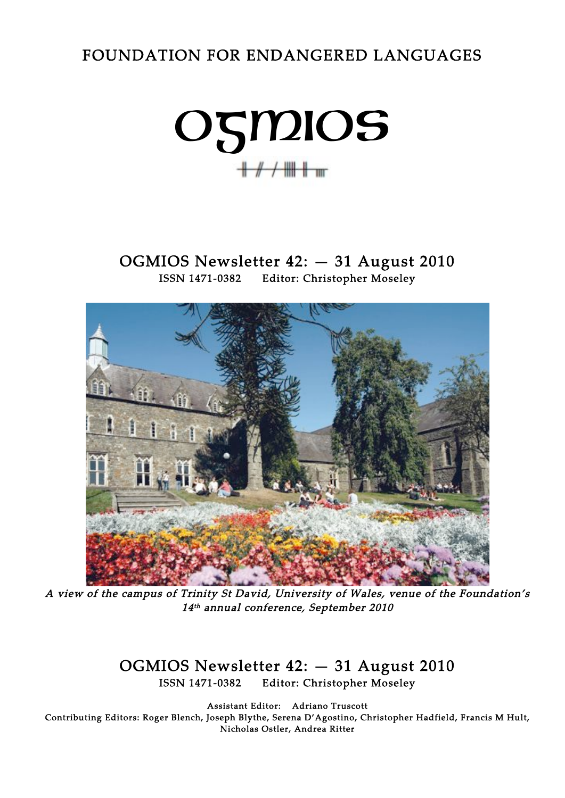# FOUNDATION FOR ENDANGERED LANGUAGES



OGMIOS Newsletter 42: - 31 August 2010 ISSN 1471-0382 Editor: Christopher Moseley



A view of the campus of Trinity St David, University of Wales, venue of the Foundation's 14<sup>th</sup> annual conference, September 2010

OGMIOS Newsletter 42: - 31 August 2010 ISSN 1471-0382 Editor: Christopher Moseley

Assistant Editor: Adriano Truscott

Contributing Editors: Roger Blench, Joseph Blythe, Serena D'Agostino, Christopher Hadfield, Francis M Hult, Nicholas Ostler, Andrea Ritter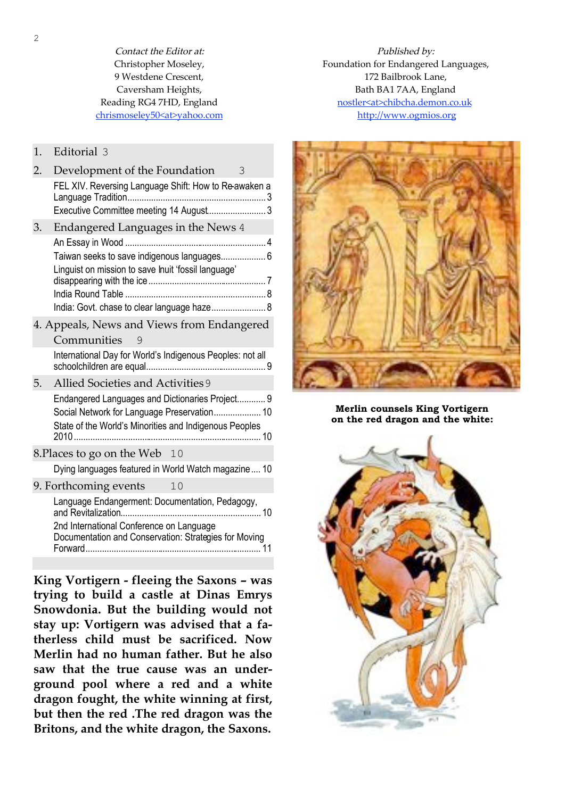Contact the Editor  $at$ : Christopher Moseley, 9 Westdene Crescent, Caversham Heights, Reading RG4 7HD, England chrismoseley50<at>yahoo.com

Published by: Foundation for Endangered Languages, 172 Bailbrook Lane, Bath BA17AA, England nostler<at>chibcha.demon.co.uk http://www.ogmios.org

### $1$  Editorial 3

| 2.                                         | Development of the Foundation<br>3                                                                                                                                      |  |
|--------------------------------------------|-------------------------------------------------------------------------------------------------------------------------------------------------------------------------|--|
|                                            | FEL XIV. Reversing Language Shift: How to Re-awaken a<br>Executive Committee meeting 14 August 3                                                                        |  |
| 3.                                         | Endangered Languages in the News 4                                                                                                                                      |  |
|                                            | Linguist on mission to save lnuit 'fossil language'<br>India: Govt. chase to clear language haze 8                                                                      |  |
| 4. Appeals, News and Views from Endangered |                                                                                                                                                                         |  |
|                                            | Communities<br>9                                                                                                                                                        |  |
|                                            | International Day for World's Indigenous Peoples: not all                                                                                                               |  |
| 5.                                         | Allied Societies and Activities 9                                                                                                                                       |  |
|                                            | Endangered Languages and Dictionaries Project 9<br>Social Network for Language Preservation 10<br>State of the World's Minorities and Indigenous Peoples                |  |
| 8. Places to go on the Web 10              |                                                                                                                                                                         |  |
|                                            | Dying languages featured in World Watch magazine 10                                                                                                                     |  |
| 9. Forthcoming events<br>10                |                                                                                                                                                                         |  |
|                                            | Language Endangerment: Documentation, Pedagogy,<br>$\overline{10}$<br>2nd International Conference on Language<br>Documentation and Conservation: Strategies for Moving |  |

**King Vortigern - fleeing the Saxons – was trying to build a castle at Dinas Emrys Snowdonia. But the building would not stay up: Vortigern was advised that a fatherless child must be sacrificed. Now Merlin had no human father. But he also saw that the true cause was an underground pool where a red and a white dragon fought, the white winning at first, but then the red .The red dragon was the Britons, and the white dragon, the Saxons.**



**Merlin counsels King Vortigern on the red dragon and the white:**

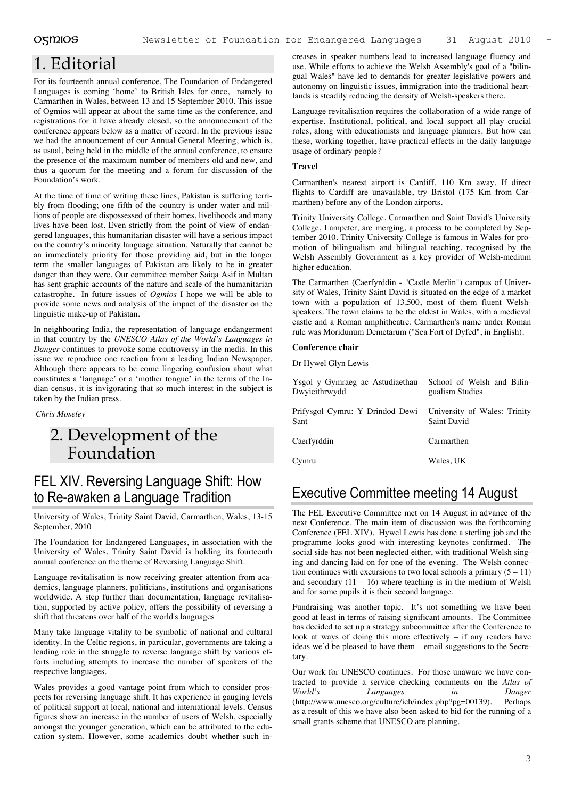### 1. Editorial

For its fourteenth annual conference, The Foundation of Endangered Languages is coming 'home' to British Isles for once, namely to Carmarthen in Wales, between 13 and 15 September 2010. This issue of Ogmios will appear at about the same time as the conference, and registrations for it have already closed, so the announcement of the conference appears below as a matter of record. In the previous issue we had the announcement of our Annual General Meeting, which is, as usual, being held in the middle of the annual conference, to ensure the presence of the maximum number of members old and new, and thus a quorum for the meeting and a forum for discussion of the Foundation's work.

At the time of time of writing these lines, Pakistan is suffering terribly from flooding; one fifth of the country is under water and millions of people are dispossessed of their homes, livelihoods and many lives have been lost. Even strictly from the point of view of endangered languages, this humanitarian disaster will have a serious impact on the country's minority language situation. Naturally that cannot be an immediately priority for those providing aid, but in the longer term the smaller languages of Pakistan are likely to be in greater danger than they were. Our committee member Saiqa Asif in Multan has sent graphic accounts of the nature and scale of the humanitarian catastrophe. In future issues of *Ogmios* I hope we will be able to provide some news and analysis of the impact of the disaster on the linguistic make-up of Pakistan.

In neighbouring India, the representation of language endangerment in that country by the *UNESCO Atlas of the World's Languages in Danger* continues to provoke some controversy in the media. In this issue we reproduce one reaction from a leading Indian Newspaper. Although there appears to be come lingering confusion about what constitutes a 'language' or a 'mother tongue' in the terms of the Indian census, it is invigorating that so much interest in the subject is taken by the Indian press.

*Chris Moseley*

# 2. Development of the **Foundation**

### FEL XIV. Reversing Language Shift: How to Re-awaken a Language Tradition

University of Wales, Trinity Saint David, Carmarthen, Wales, 13-15 September, 2010

The Foundation for Endangered Languages, in association with the University of Wales, Trinity Saint David is holding its fourteenth annual conference on the theme of Reversing Language Shift.

Language revitalisation is now receiving greater attention from academics, language planners, politicians, institutions and organisations worldwide. A step further than documentation, language revitalisation, supported by active policy, offers the possibility of reversing a shift that threatens over half of the world's languages

Many take language vitality to be symbolic of national and cultural identity. In the Celtic regions, in particular, governments are taking a leading role in the struggle to reverse language shift by various efforts including attempts to increase the number of speakers of the respective languages.

Wales provides a good vantage point from which to consider prospects for reversing language shift. It has experience in gauging levels of political support at local, national and international levels. Census figures show an increase in the number of users of Welsh, especially amongst the younger generation, which can be attributed to the education system. However, some academics doubt whether such increases in speaker numbers lead to increased language fluency and use. While efforts to achieve the Welsh Assembly's goal of a "bilingual Wales" have led to demands for greater legislative powers and autonomy on linguistic issues, immigration into the traditional heartlands is steadily reducing the density of Welsh-speakers there.

Language revitalisation requires the collaboration of a wide range of expertise. Institutional, political, and local support all play crucial roles, along with educationists and language planners. But how can these, working together, have practical effects in the daily language usage of ordinary people?

### **Travel**

Carmarthen's nearest airport is Cardiff, 110 Km away. If direct flights to Cardiff are unavailable, try Bristol (175 Km from Carmarthen) before any of the London airports.

Trinity University College, Carmarthen and Saint David's University College, Lampeter, are merging, a process to be completed by September 2010. Trinity University College is famous in Wales for promotion of bilingualism and bilingual teaching, recognised by the Welsh Assembly Government as a key provider of Welsh-medium higher education.

The Carmarthen (Caerfyrddin - "Castle Merlin") campus of University of Wales, Trinity Saint David is situated on the edge of a market town with a population of 13,500, most of them fluent Welshspeakers. The town claims to be the oldest in Wales, with a medieval castle and a Roman amphitheatre. Carmarthen's name under Roman rule was Moridunum Demetarum ("Sea Fort of Dyfed", in English).

### **Conference chair**

Dr Hywel Glyn Lewis

| Ysgol y Gymraeg ac Astudiaethau | School of Welsh and Bilin-   |
|---------------------------------|------------------------------|
| Dwyieithrwydd                   | gualism Studies              |
| Prifysgol Cymru: Y Drindod Dewi | University of Wales: Trinity |
| Sant                            | Saint David                  |
| Caerfyrddin                     | Carmarthen                   |
| Cymru                           | Wales. UK                    |

# Executive Committee meeting 14 August

The FEL Executive Committee met on 14 August in advance of the next Conference. The main item of discussion was the forthcoming Conference (FEL XIV). Hywel Lewis has done a sterling job and the programme looks good with interesting keynotes confirmed. The social side has not been neglected either, with traditional Welsh singing and dancing laid on for one of the evening. The Welsh connection continues with excursions to two local schools a primary  $(5 - 11)$ and secondary  $(11 - 16)$  where teaching is in the medium of Welsh and for some pupils it is their second language.

Fundraising was another topic. It's not something we have been good at least in terms of raising significant amounts. The Committee has decided to set up a strategy subcommittee after the Conference to look at ways of doing this more effectively – if any readers have ideas we'd be pleased to have them – email suggestions to the Secretary.

Our work for UNESCO continues. For those unaware we have contracted to provide a service checking comments on the *Atlas of World's Languages in Danger* (http://www.unesco.org/culture/ich/index.php?pg=00139). Perhaps as a result of this we have also been asked to bid for the running of a small grants scheme that UNESCO are planning.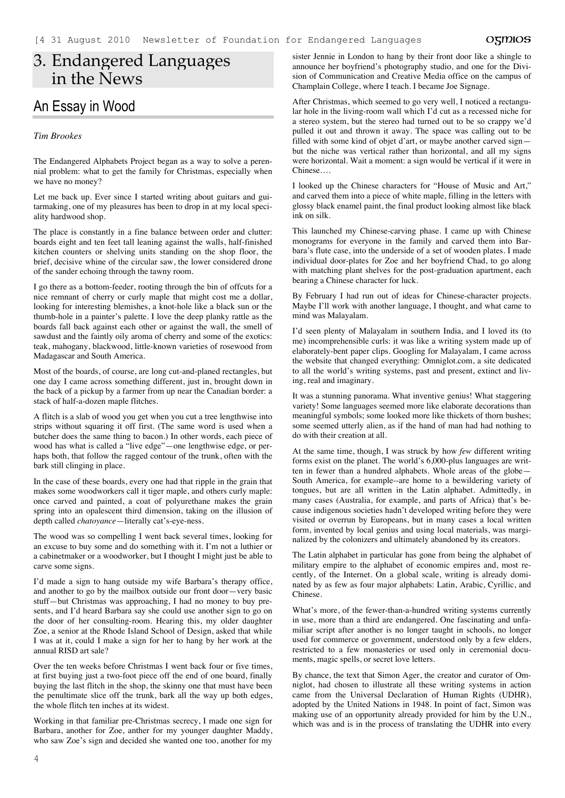# 3. Endangered Languages in the News

### An Essay in Wood

### *Tim Brookes*

The Endangered Alphabets Project began as a way to solve a perennial problem: what to get the family for Christmas, especially when we have no money?

Let me back up. Ever since I started writing about guitars and guitarmaking, one of my pleasures has been to drop in at my local speciality hardwood shop.

The place is constantly in a fine balance between order and clutter: boards eight and ten feet tall leaning against the walls, half-finished kitchen counters or shelving units standing on the shop floor, the brief, decisive whine of the circular saw, the lower considered drone of the sander echoing through the tawny room.

I go there as a bottom-feeder, rooting through the bin of offcuts for a nice remnant of cherry or curly maple that might cost me a dollar, looking for interesting blemishes, a knot-hole like a black sun or the thumb-hole in a painter's palette. I love the deep planky rattle as the boards fall back against each other or against the wall, the smell of sawdust and the faintly oily aroma of cherry and some of the exotics: teak, mahogany, blackwood, little-known varieties of rosewood from Madagascar and South America.

Most of the boards, of course, are long cut-and-planed rectangles, but one day I came across something different, just in, brought down in the back of a pickup by a farmer from up near the Canadian border: a stack of half-a-dozen maple flitches.

A flitch is a slab of wood you get when you cut a tree lengthwise into strips without squaring it off first. (The same word is used when a butcher does the same thing to bacon.) In other words, each piece of wood has what is called a "live edge"—one lengthwise edge, or perhaps both, that follow the ragged contour of the trunk, often with the bark still clinging in place.

In the case of these boards, every one had that ripple in the grain that makes some woodworkers call it tiger maple, and others curly maple: once carved and painted, a coat of polyurethane makes the grain spring into an opalescent third dimension, taking on the illusion of depth called *chatoyance*—literally cat's-eye-ness.

The wood was so compelling I went back several times, looking for an excuse to buy some and do something with it. I'm not a luthier or a cabinetmaker or a woodworker, but I thought I might just be able to carve some signs.

I'd made a sign to hang outside my wife Barbara's therapy office, and another to go by the mailbox outside our front door—very basic stuff—but Christmas was approaching, I had no money to buy presents, and I'd heard Barbara say she could use another sign to go on the door of her consulting-room. Hearing this, my older daughter Zoe, a senior at the Rhode Island School of Design, asked that while I was at it, could I make a sign for her to hang by her work at the annual RISD art sale?

Over the ten weeks before Christmas I went back four or five times, at first buying just a two-foot piece off the end of one board, finally buying the last flitch in the shop, the skinny one that must have been the penultimate slice off the trunk, bark all the way up both edges, the whole flitch ten inches at its widest.

Working in that familiar pre-Christmas secrecy, I made one sign for Barbara, another for Zoe, anther for my younger daughter Maddy, who saw Zoe's sign and decided she wanted one too, another for my

sister Jennie in London to hang by their front door like a shingle to announce her boyfriend's photography studio, and one for the Division of Communication and Creative Media office on the campus of Champlain College, where I teach. I became Joe Signage.

After Christmas, which seemed to go very well, I noticed a rectangular hole in the living-room wall which I'd cut as a recessed niche for a stereo system, but the stereo had turned out to be so crappy we'd pulled it out and thrown it away. The space was calling out to be filled with some kind of objet d'art, or maybe another carved sign but the niche was vertical rather than horizontal, and all my signs were horizontal. Wait a moment: a sign would be vertical if it were in Chinese….

I looked up the Chinese characters for "House of Music and Art," and carved them into a piece of white maple, filling in the letters with glossy black enamel paint, the final product looking almost like black ink on silk.

This launched my Chinese-carving phase. I came up with Chinese monograms for everyone in the family and carved them into Barbara's flute case, into the underside of a set of wooden plates. I made individual door-plates for Zoe and her boyfriend Chad, to go along with matching plant shelves for the post-graduation apartment, each bearing a Chinese character for luck.

By February I had run out of ideas for Chinese-character projects. Maybe I'll work with another language, I thought, and what came to mind was Malayalam.

I'd seen plenty of Malayalam in southern India, and I loved its (to me) incomprehensible curls: it was like a writing system made up of elaborately-bent paper clips. Googling for Malayalam, I came across the website that changed everything: Omniglot.com, a site dedicated to all the world's writing systems, past and present, extinct and living, real and imaginary.

It was a stunning panorama. What inventive genius! What staggering variety! Some languages seemed more like elaborate decorations than meaningful symbols; some looked more like thickets of thorn bushes; some seemed utterly alien, as if the hand of man had had nothing to do with their creation at all.

At the same time, though, I was struck by how *few* different writing forms exist on the planet. The world's 6,000-plus languages are written in fewer than a hundred alphabets. Whole areas of the globe— South America, for example--are home to a bewildering variety of tongues, but are all written in the Latin alphabet. Admittedly, in many cases (Australia, for example, and parts of Africa) that's because indigenous societies hadn't developed writing before they were visited or overrun by Europeans, but in many cases a local written form, invented by local genius and using local materials, was marginalized by the colonizers and ultimately abandoned by its creators.

The Latin alphabet in particular has gone from being the alphabet of military empire to the alphabet of economic empires and, most recently, of the Internet. On a global scale, writing is already dominated by as few as four major alphabets: Latin, Arabic, Cyrillic, and Chinese.

What's more, of the fewer-than-a-hundred writing systems currently in use, more than a third are endangered. One fascinating and unfamiliar script after another is no longer taught in schools, no longer used for commerce or government, understood only by a few elders, restricted to a few monasteries or used only in ceremonial documents, magic spells, or secret love letters.

By chance, the text that Simon Ager, the creator and curator of Omniglot, had chosen to illustrate all these writing systems in action came from the Universal Declaration of Human Rights (UDHR), adopted by the United Nations in 1948. In point of fact, Simon was making use of an opportunity already provided for him by the U.N., which was and is in the process of translating the UDHR into every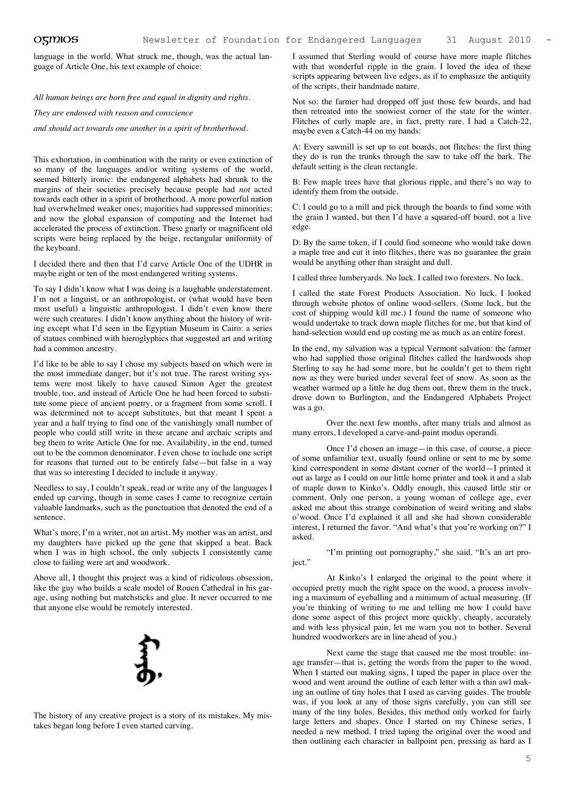language in the world. What struck me, though, was the actual language of Article One, his text example of choice:

### *All human beings are born free and equal in dignity and rights.*

*They are endowed with reason and conscience* 

*and should act towards one another in a spirit of brotherhood.*

This exhortation, in combination with the rarity or even extinction of so many of the languages and/or writing systems of the world, seemed bitterly ironic: the endangered alphabets had shrunk to the margins of their societies precisely because people had *not* acted towards each other in a spirit of brotherhood. A more powerful nation had overwhelmed weaker ones; majorities had suppressed minorities; and now the global expansion of computing and the Internet had accelerated the process of extinction. These gnarly or magnificent old scripts were being replaced by the beige, rectangular uniformity of the keyboard.

I decided there and then that I'd carve Article One of the UDHR in maybe eight or ten of the most endangered writing systems.

To say I didn't know what I was doing is a laughable understatement. I'm not a linguist, or an anthropologist, or (what would have been most useful) a linguistic anthropologist. I didn't even know there were such creatures. I didn't know anything about the history of writing except what I'd seen in the Egyptian Museum in Cairo: a series of statues combined with hieroglyphics that suggested art and writing had a common ancestry.

I'd like to be able to say I chose my subjects based on which were in the most immediate danger, but it's not true. The rarest writing systems were most likely to have caused Simon Ager the greatest trouble, too, and instead of Article One he had been forced to substitute some piece of ancient poetry, or a fragment from some scroll. I was determined not to accept substitutes, but that meant I spent a year and a half trying to find one of the vanishingly small number of people who could still write in these arcane and archaic scripts and beg them to write Article One for me. Availability, in the end, turned out to be the common denominator. I even chose to include one script for reasons that turned out to be entirely false—but false in a way that was so interesting I decided to include it anyway.

Needless to say, I couldn't speak, read or write any of the languages I ended up carving, though in some cases I came to recognize certain valuable landmarks, such as the punctuation that denoted the end of a sentence.

What's more, I'm a writer, not an artist. My mother was an artist, and my daughters have picked up the gene that skipped a beat. Back when I was in high school, the only subjects I consistently came close to failing were art and woodwork.

Above all, I thought this project was a kind of ridiculous obsession, like the guy who builds a scale model of Rouen Cathedral in his garage, using nothing but matchsticks and glue. It never occurred to me that anyone else would be remotely interested.



I assumed that Sterling would of course have more maple flitches with that wonderful ripple in the grain. I loved the idea of these scripts appearing between live edges, as if to emphasize the antiquity of the scripts, their handmade nature.

Not so: the farmer had dropped off just those few boards, and had then retreated into the snowiest corner of the state for the winter. Flitches of curly maple are, in fact, pretty rare. I had a Catch-22, maybe even a Catch-44 on my hands:

A: Every sawmill is set up to cut boards, not flitches: the first thing they do is run the trunks through the saw to take off the bark. The default setting is the clean rectangle.

B: Few maple trees have that glorious ripple, and there's no way to identify them from the outside.

C: I could go to a mill and pick through the boards to find some with the grain I wanted, but then I'd have a squared-off board, not a live edge.

D: By the same token, if I could find someone who would take down a maple tree and cut it into flitches, there was no guarantee the grain would be anything other than straight and dull.

I called three lumberyards. No luck. I called two foresters. No luck.

I called the state Forest Products Association. No luck. I looked through website photos of online wood-sellers. (Some luck, but the cost of shipping would kill me.) I found the name of someone who would undertake to track down maple flitches for me, but that kind of hand-selection would end up costing me as much as an entire forest.

In the end, my salvation was a typical Vermont salvation: the farmer who had supplied those original flitches called the hardwoods shop Sterling to say he had some more, but he couldn't get to them right now as they were buried under several feet of snow. As soon as the weather warmed up a little he dug them out, threw them in the truck, drove down to Burlington, and the Endangered Alphabets Project was a go.

Over the next few months, after many trials and almost as many errors, I developed a carve-and-paint modus operandi.

Once I'd chosen an image—in this case, of course, a piece of some unfamiliar text, usually found online or sent to me by some kind correspondent in some distant corner of the world—I printed it out as large as I could on our little home printer and took it and a slab of maple down to Kinko's. Oddly enough, this caused little stir or comment. Only one person, a young woman of college age, ever asked me about this strange combination of weird writing and slabs o'wood. Once I'd explained it all and she had shown considerable interest, I returned the favor. "And what's that you're working on?" I asked.

"I'm printing out pornography," she said. "It's an art project."

At Kinko's I enlarged the original to the point where it occupied pretty much the right space on the wood, a process involving a maximum of eyeballing and a minimum of actual measuring. (If you're thinking of writing to me and telling me how I could have done some aspect of this project more quickly, cheaply, accurately and with less physical pain, let me warn you not to bother. Several hundred woodworkers are in line ahead of you.)

Next came the stage that caused me the most trouble: image transfer—that is, getting the words from the paper to the wood. When I started out making signs, I taped the paper in place over the wood and went around the outline of each letter with a thin awl making an outline of tiny holes that I used as carving guides. The trouble was, if you look at any of those signs carefully, you can still see many of the tiny holes. Besides, this method only worked for fairly large letters and shapes. Once I started on my Chinese series, I needed a new method. I tried taping the original over the wood and then outlining each character in ballpoint pen, pressing as hard as I

The history of any creative project is a story of its mistakes. My mistakes began long before I even started carving.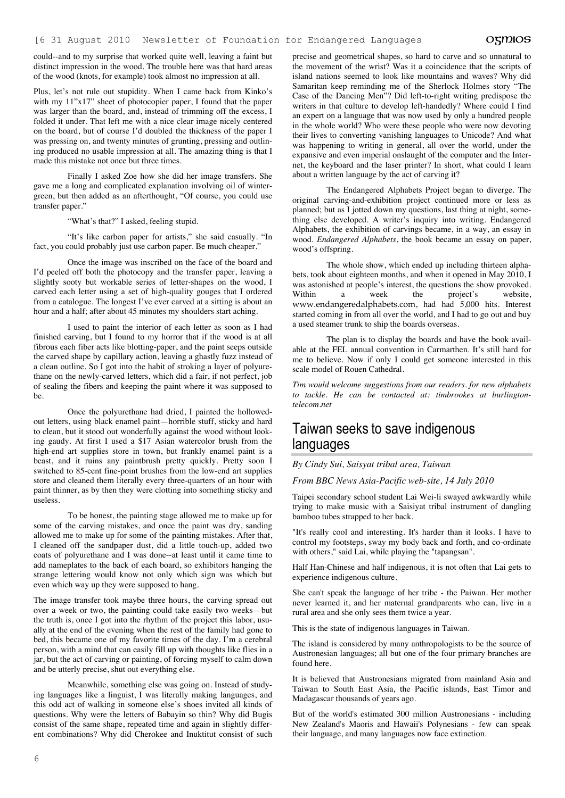could--and to my surprise that worked quite well, leaving a faint but distinct impression in the wood. The trouble here was that hard areas of the wood (knots, for example) took almost no impression at all.

Plus, let's not rule out stupidity. When I came back from Kinko's with my  $11"x17"$  sheet of photocopier paper, I found that the paper was larger than the board, and, instead of trimming off the excess, I folded it under. That left me with a nice clear image nicely centered on the board, but of course I'd doubled the thickness of the paper I was pressing on, and twenty minutes of grunting, pressing and outlining produced no usable impression at all. The amazing thing is that I made this mistake not once but three times.

Finally I asked Zoe how she did her image transfers. She gave me a long and complicated explanation involving oil of wintergreen, but then added as an afterthought, "Of course, you could use transfer paper."

"What's that?" I asked, feeling stupid.

"It's like carbon paper for artists," she said casually. "In fact, you could probably just use carbon paper. Be much cheaper."

Once the image was inscribed on the face of the board and I'd peeled off both the photocopy and the transfer paper, leaving a slightly sooty but workable series of letter-shapes on the wood, I carved each letter using a set of high-quality gouges that I ordered from a catalogue. The longest I've ever carved at a sitting is about an hour and a half; after about 45 minutes my shoulders start aching.

I used to paint the interior of each letter as soon as I had finished carving, but I found to my horror that if the wood is at all fibrous each fiber acts like blotting-paper, and the paint seeps outside the carved shape by capillary action, leaving a ghastly fuzz instead of a clean outline. So I got into the habit of stroking a layer of polyurethane on the newly-carved letters, which did a fair, if not perfect, job of sealing the fibers and keeping the paint where it was supposed to be.

Once the polyurethane had dried, I painted the hollowedout letters, using black enamel paint—horrible stuff, sticky and hard to clean, but it stood out wonderfully against the wood without looking gaudy. At first I used a \$17 Asian watercolor brush from the high-end art supplies store in town, but frankly enamel paint is a beast, and it ruins any paintbrush pretty quickly. Pretty soon I switched to 85-cent fine-point brushes from the low-end art supplies store and cleaned them literally every three-quarters of an hour with paint thinner, as by then they were clotting into something sticky and useless.

To be honest, the painting stage allowed me to make up for some of the carving mistakes, and once the paint was dry, sanding allowed me to make up for some of the painting mistakes. After that, I cleaned off the sandpaper dust, did a little touch-up, added two coats of polyurethane and I was done--at least until it came time to add nameplates to the back of each board, so exhibitors hanging the strange lettering would know not only which sign was which but even which way up they were supposed to hang.

The image transfer took maybe three hours, the carving spread out over a week or two, the painting could take easily two weeks—but the truth is, once I got into the rhythm of the project this labor, usually at the end of the evening when the rest of the family had gone to bed, this became one of my favorite times of the day. I'm a cerebral person, with a mind that can easily fill up with thoughts like flies in a jar, but the act of carving or painting, of forcing myself to calm down and be utterly precise, shut out everything else.

Meanwhile, something else was going on. Instead of studying languages like a linguist, I was literally making languages, and this odd act of walking in someone else's shoes invited all kinds of questions. Why were the letters of Babayin so thin? Why did Bugis consist of the same shape, repeated time and again in slightly different combinations? Why did Cherokee and Inuktitut consist of such precise and geometrical shapes, so hard to carve and so unnatural to the movement of the wrist? Was it a coincidence that the scripts of island nations seemed to look like mountains and waves? Why did Samaritan keep reminding me of the Sherlock Holmes story "The Case of the Dancing Men"? Did left-to-right writing predispose the writers in that culture to develop left-handedly? Where could I find an expert on a language that was now used by only a hundred people in the whole world? Who were these people who were now devoting their lives to converting vanishing languages to Unicode? And what was happening to writing in general, all over the world, under the expansive and even imperial onslaught of the computer and the Internet, the keyboard and the laser printer? In short, what could I learn about a written language by the act of carving it?

The Endangered Alphabets Project began to diverge. The original carving-and-exhibition project continued more or less as planned; but as I jotted down my questions, last thing at night, something else developed. A writer's inquiry into writing. Endangered Alphabets, the exhibition of carvings became, in a way, an essay in wood. *Endangered Alphabets*, the book became an essay on paper, wood's offspring.

The whole show, which ended up including thirteen alphabets, took about eighteen months, and when it opened in May 2010, I was astonished at people's interest, the questions the show provoked. Within a week the project's website, www.endangeredalphabets.com, had had 5,000 hits. Interest started coming in from all over the world, and I had to go out and buy a used steamer trunk to ship the boards overseas.

The plan is to display the boards and have the book available at the FEL annual convention in Carmarthen. It's still hard for me to believe. Now if only I could get someone interested in this scale model of Rouen Cathedral.

*Tim would welcome suggestions from our readers. for new alphabets to tackle. He can be contacted at: timbrookes at burlingtontelecom.net* 

### Taiwan seeks to save indigenous languages

*By Cindy Sui, Saisyat tribal area, Taiwan*

*From BBC News Asia-Pacific web-site, 14 July 2010*

Taipei secondary school student Lai Wei-li swayed awkwardly while trying to make music with a Saisiyat tribal instrument of dangling bamboo tubes strapped to her back.

"It's really cool and interesting. It's harder than it looks. I have to control my footsteps, sway my body back and forth, and co-ordinate with others," said Lai, while playing the "tapangsan".

Half Han-Chinese and half indigenous, it is not often that Lai gets to experience indigenous culture.

She can't speak the language of her tribe - the Paiwan. Her mother never learned it, and her maternal grandparents who can, live in a rural area and she only sees them twice a year.

This is the state of indigenous languages in Taiwan.

The island is considered by many anthropologists to be the source of Austronesian languages; all but one of the four primary branches are found here.

It is believed that Austronesians migrated from mainland Asia and Taiwan to South East Asia, the Pacific islands, East Timor and Madagascar thousands of years ago.

But of the world's estimated 300 million Austronesians - including New Zealand's Maoris and Hawaii's Polynesians - few can speak their language, and many languages now face extinction.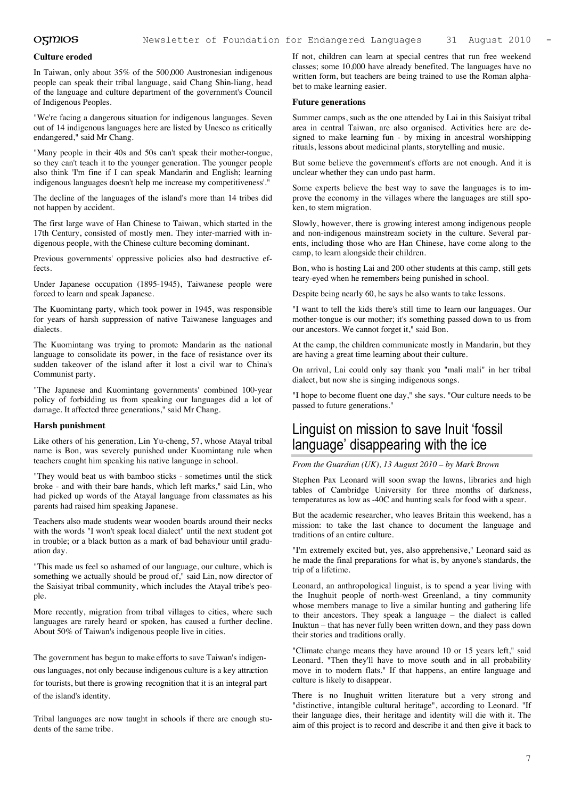### **Culture eroded**

In Taiwan, only about 35% of the 500,000 Austronesian indigenous people can speak their tribal language, said Chang Shin-liang, head of the language and culture department of the government's Council of Indigenous Peoples.

"We're facing a dangerous situation for indigenous languages. Seven out of 14 indigenous languages here are listed by Unesco as critically endangered," said Mr Chang.

"Many people in their 40s and 50s can't speak their mother-tongue, so they can't teach it to the younger generation. The younger people also think 'I'm fine if I can speak Mandarin and English; learning indigenous languages doesn't help me increase my competitiveness'."

The decline of the languages of the island's more than 14 tribes did not happen by accident.

The first large wave of Han Chinese to Taiwan, which started in the 17th Century, consisted of mostly men. They inter-married with indigenous people, with the Chinese culture becoming dominant.

Previous governments' oppressive policies also had destructive effects.

Under Japanese occupation (1895-1945), Taiwanese people were forced to learn and speak Japanese.

The Kuomintang party, which took power in 1945, was responsible for years of harsh suppression of native Taiwanese languages and dialects.

The Kuomintang was trying to promote Mandarin as the national language to consolidate its power, in the face of resistance over its sudden takeover of the island after it lost a civil war to China's Communist party.

"The Japanese and Kuomintang governments' combined 100-year policy of forbidding us from speaking our languages did a lot of damage. It affected three generations," said Mr Chang.

### **Harsh punishment**

Like others of his generation, Lin Yu-cheng, 57, whose Atayal tribal name is Bon, was severely punished under Kuomintang rule when teachers caught him speaking his native language in school.

"They would beat us with bamboo sticks - sometimes until the stick broke - and with their bare hands, which left marks," said Lin, who had picked up words of the Atayal language from classmates as his parents had raised him speaking Japanese.

Teachers also made students wear wooden boards around their necks with the words "I won't speak local dialect" until the next student got in trouble; or a black button as a mark of bad behaviour until graduation day.

"This made us feel so ashamed of our language, our culture, which is something we actually should be proud of," said Lin, now director of the Saisiyat tribal community, which includes the Atayal tribe's people.

More recently, migration from tribal villages to cities, where such languages are rarely heard or spoken, has caused a further decline. About 50% of Taiwan's indigenous people live in cities.

The government has begun to make efforts to save Taiwan's indigenous languages, not only because indigenous culture is a key attraction for tourists, but there is growing recognition that it is an integral part of the island's identity.

Tribal languages are now taught in schools if there are enough students of the same tribe.

If not, children can learn at special centres that run free weekend classes; some 10,000 have already benefited. The languages have no written form, but teachers are being trained to use the Roman alphabet to make learning easier.

### **Future generations**

Summer camps, such as the one attended by Lai in this Saisiyat tribal area in central Taiwan, are also organised. Activities here are designed to make learning fun - by mixing in ancestral worshipping rituals, lessons about medicinal plants, storytelling and music.

But some believe the government's efforts are not enough. And it is unclear whether they can undo past harm.

Some experts believe the best way to save the languages is to improve the economy in the villages where the languages are still spoken, to stem migration.

Slowly, however, there is growing interest among indigenous people and non-indigenous mainstream society in the culture. Several parents, including those who are Han Chinese, have come along to the camp, to learn alongside their children.

Bon, who is hosting Lai and 200 other students at this camp, still gets teary-eyed when he remembers being punished in school.

Despite being nearly 60, he says he also wants to take lessons.

"I want to tell the kids there's still time to learn our languages. Our mother-tongue is our mother; it's something passed down to us from our ancestors. We cannot forget it," said Bon.

At the camp, the children communicate mostly in Mandarin, but they are having a great time learning about their culture.

On arrival, Lai could only say thank you "mali mali" in her tribal dialect, but now she is singing indigenous songs.

"I hope to become fluent one day," she says. "Our culture needs to be passed to future generations."

## Linguist on mission to save Inuit 'fossil language' disappearing with the ice

*From the Guardian (UK), 13 August 2010 – by Mark Brown*

Stephen Pax Leonard will soon swap the lawns, libraries and high tables of Cambridge University for three months of darkness, temperatures as low as -40C and hunting seals for food with a spear.

But the academic researcher, who leaves Britain this weekend, has a mission: to take the last chance to document the language and traditions of an entire culture.

"I'm extremely excited but, yes, also apprehensive," Leonard said as he made the final preparations for what is, by anyone's standards, the trip of a lifetime.

Leonard, an anthropological linguist, is to spend a year living with the Inughuit people of north-west Greenland, a tiny community whose members manage to live a similar hunting and gathering life to their ancestors. They speak a language – the dialect is called Inuktun – that has never fully been written down, and they pass down their stories and traditions orally.

"Climate change means they have around 10 or 15 years left," said Leonard. "Then they'll have to move south and in all probability move in to modern flats." If that happens, an entire language and culture is likely to disappear.

There is no Inughuit written literature but a very strong and "distinctive, intangible cultural heritage", according to Leonard. "If their language dies, their heritage and identity will die with it. The aim of this project is to record and describe it and then give it back to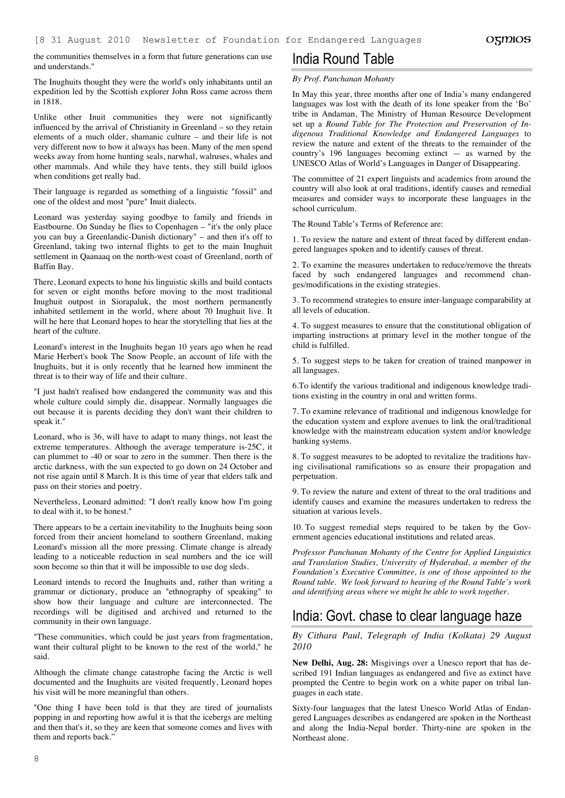the communities themselves in a form that future generations can use and understands."

The Inughuits thought they were the world's only inhabitants until an expedition led by the Scottish explorer John Ross came across them in 1818.

Unlike other Inuit communities they were not significantly influenced by the arrival of Christianity in Greenland – so they retain elements of a much older, shamanic culture – and their life is not very different now to how it always has been. Many of the men spend weeks away from home hunting seals, narwhal, walruses, whales and other mammals. And while they have tents, they still build igloos when conditions get really bad.

Their language is regarded as something of a linguistic "fossil" and one of the oldest and most "pure" Inuit dialects.

Leonard was yesterday saying goodbye to family and friends in Eastbourne. On Sunday he flies to Copenhagen – "it's the only place you can buy a Greenlandic-Danish dictionary" – and then it's off to Greenland, taking two internal flights to get to the main Inughuit settlement in Qaanaaq on the north-west coast of Greenland, north of Baffin Bay.

There, Leonard expects to hone his linguistic skills and build contacts for seven or eight months before moving to the most traditional Inughuit outpost in Siorapaluk, the most northern permanently inhabited settlement in the world, where about 70 Inughuit live. It will he here that Leonard hopes to hear the storytelling that lies at the heart of the culture.

Leonard's interest in the Inughuits began 10 years ago when he read Marie Herbert's book The Snow People, an account of life with the Inughuits, but it is only recently that he learned how imminent the threat is to their way of life and their culture.

"I just hadn't realised how endangered the community was and this whole culture could simply die, disappear. Normally languages die out because it is parents deciding they don't want their children to speak it."

Leonard, who is 36, will have to adapt to many things, not least the extreme temperatures. Although the average temperature is-25C, it can plummet to -40 or soar to zero in the summer. Then there is the arctic darkness, with the sun expected to go down on 24 October and not rise again until 8 March. It is this time of year that elders talk and pass on their stories and poetry.

Nevertheless, Leonard admitted: "I don't really know how I'm going to deal with it, to be honest."

There appears to be a certain inevitability to the Inughuits being soon forced from their ancient homeland to southern Greenland, making Leonard's mission all the more pressing. Climate change is already leading to a noticeable reduction in seal numbers and the ice will soon become so thin that it will be impossible to use dog sleds.

Leonard intends to record the Inughuits and, rather than writing a grammar or dictionary, produce an "ethnography of speaking" to show how their language and culture are interconnected. The recordings will be digitised and archived and returned to the community in their own language.

"These communities, which could be just years from fragmentation, want their cultural plight to be known to the rest of the world," he said.

Although the climate change catastrophe facing the Arctic is well documented and the Inughuits are visited frequently, Leonard hopes his visit will be more meaningful than others.

"One thing I have been told is that they are tired of journalists popping in and reporting how awful it is that the icebergs are melting and then that's it, so they are keen that someone comes and lives with them and reports back."

### India Round Table

*By Prof. Panchanan Mohanty*

In May this year, three months after one of India's many endangered languages was lost with the death of its lone speaker from the 'Bo' tribe in Andaman, The Ministry of Human Resource Development set up a *Round Table for The Protection and Preservation of Indigenous Traditional Knowledge and Endangered Languages* to review the nature and extent of the threats to the remainder of the country's 196 languages becoming extinct — as warned by the UNESCO Atlas of World's Languages in Danger of Disappearing.

The committee of 21 expert linguists and academics from around the country will also look at oral traditions, identify causes and remedial measures and consider ways to incorporate these languages in the school curriculum.

The Round Table's Terms of Reference are:

1. To review the nature and extent of threat faced by different endangered languages spoken and to identify causes of threat.

2. To examine the measures undertaken to reduce/remove the threats faced by such endangered languages and recommend changes/modifications in the existing strategies.

3. To recommend strategies to ensure inter-language comparability at all levels of education.

4. To suggest measures to ensure that the constitutional obligation of imparting instructions at primary level in the mother tongue of the child is fulfilled.

5. To suggest steps to be taken for creation of trained manpower in all languages.

6.To identify the various traditional and indigenous knowledge traditions existing in the country in oral and written forms.

7. To examine relevance of traditional and indigenous knowledge for the education system and explore avenues to link the oral/traditional knowledge with the mainstream education system and/or knowledge banking systems.

8. To suggest measures to be adopted to revitalize the traditions having civilisational ramifications so as ensure their propagation and perpetuation.

9. To review the nature and extent of threat to the oral traditions and identify causes and examine the measures undertaken to redress the situation at various levels.

10. To suggest remedial steps required to be taken by the Government agencies educational institutions and related areas.

*Professor Panchanan Mohanty of the Centre for Applied Linguistics and Translation Studies, University of Hyderabad, a member of the Foundation's Executive Committee, is one of those appointed to the Round table. We look forward to hearing of the Round Table's work and identifying areas where we might be able to work together.*

# India: Govt. chase to clear language haze

### *By Cithara Paul, Telegraph of India (Kolkata) 29 August 2010*

**New Delhi, Aug. 28:** Misgivings over a Unesco report that has described 191 Indian languages as endangered and five as extinct have prompted the Centre to begin work on a white paper on tribal languages in each state.

Sixty-four languages that the latest Unesco World Atlas of Endangered Languages describes as endangered are spoken in the Northeast and along the India-Nepal border. Thirty-nine are spoken in the Northeast alone.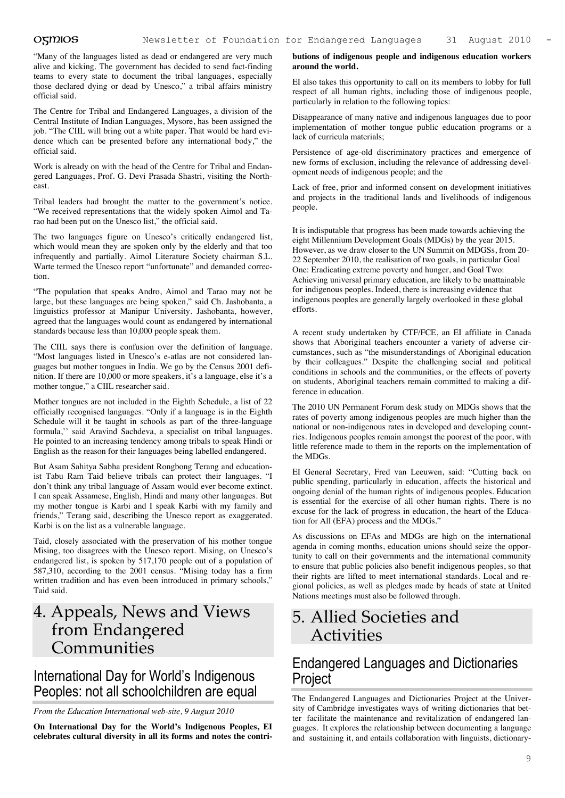"Many of the languages listed as dead or endangered are very much alive and kicking. The government has decided to send fact-finding teams to every state to document the tribal languages, especially those declared dying or dead by Unesco," a tribal affairs ministry official said.

The Centre for Tribal and Endangered Languages, a division of the Central Institute of Indian Languages, Mysore, has been assigned the job. "The CIIL will bring out a white paper. That would be hard evidence which can be presented before any international body," the official said.

Work is already on with the head of the Centre for Tribal and Endangered Languages, Prof. G. Devi Prasada Shastri, visiting the Northeast.

Tribal leaders had brought the matter to the government's notice. "We received representations that the widely spoken Aimol and Tarao had been put on the Unesco list," the official said.

The two languages figure on Unesco's critically endangered list, which would mean they are spoken only by the elderly and that too infrequently and partially. Aimol Literature Society chairman S.L. Warte termed the Unesco report "unfortunate" and demanded correction.

"The population that speaks Andro, Aimol and Tarao may not be large, but these languages are being spoken," said Ch. Jashobanta, a linguistics professor at Manipur University. Jashobanta, however, agreed that the languages would count as endangered by international standards because less than 10,000 people speak them.

The CIIL says there is confusion over the definition of language. "Most languages listed in Unesco's e-atlas are not considered languages but mother tongues in India. We go by the Census 2001 definition. If there are 10,000 or more speakers, it's a language, else it's a mother tongue," a CIIL researcher said.

Mother tongues are not included in the Eighth Schedule, a list of 22 officially recognised languages. "Only if a language is in the Eighth Schedule will it be taught in schools as part of the three-language formula,'' said Aravind Sachdeva, a specialist on tribal languages. He pointed to an increasing tendency among tribals to speak Hindi or English as the reason for their languages being labelled endangered.

But Asam Sahitya Sabha president Rongbong Terang and educationist Tabu Ram Taid believe tribals can protect their languages. "I don't think any tribal language of Assam would ever become extinct. I can speak Assamese, English, Hindi and many other languages. But my mother tongue is Karbi and I speak Karbi with my family and friends," Terang said, describing the Unesco report as exaggerated. Karbi is on the list as a vulnerable language.

Taid, closely associated with the preservation of his mother tongue Mising, too disagrees with the Unesco report. Mising, on Unesco's endangered list, is spoken by 517,170 people out of a population of 587,310, according to the 2001 census. "Mising today has a firm written tradition and has even been introduced in primary schools," Taid said.

# 4. Appeals, News and Views from Endangered Communities

# International Day for World's Indigenous Peoples: not all schoolchildren are equal

*From the Education International web-site, 9 August 2010*

**On International Day for the World's Indigenous Peoples, EI celebrates cultural diversity in all its forms and notes the contri-**

### **butions of indigenous people and indigenous education workers around the world.**

EI also takes this opportunity to call on its members to lobby for full respect of all human rights, including those of indigenous people, particularly in relation to the following topics:

Disappearance of many native and indigenous languages due to poor implementation of mother tongue public education programs or a lack of curricula materials;

Persistence of age-old discriminatory practices and emergence of new forms of exclusion, including the relevance of addressing development needs of indigenous people; and the

Lack of free, prior and informed consent on development initiatives and projects in the traditional lands and livelihoods of indigenous people.

It is indisputable that progress has been made towards achieving the eight Millennium Development Goals (MDGs) by the year 2015. However, as we draw closer to the UN Summit on MDGSs, from 20- 22 September 2010, the realisation of two goals, in particular Goal One: Eradicating extreme poverty and hunger, and Goal Two: Achieving universal primary education, are likely to be unattainable for indigenous peoples. Indeed, there is increasing evidence that indigenous peoples are generally largely overlooked in these global efforts.

A recent study undertaken by CTF/FCE, an EI affiliate in Canada shows that Aboriginal teachers encounter a variety of adverse circumstances, such as "the misunderstandings of Aboriginal education by their colleagues." Despite the challenging social and political conditions in schools and the communities, or the effects of poverty on students, Aboriginal teachers remain committed to making a difference in education.

The 2010 UN Permanent Forum desk study on MDGs shows that the rates of poverty among indigenous peoples are much higher than the national or non-indigenous rates in developed and developing countries. Indigenous peoples remain amongst the poorest of the poor, with little reference made to them in the reports on the implementation of the MDGs.

EI General Secretary, Fred van Leeuwen, said: "Cutting back on public spending, particularly in education, affects the historical and ongoing denial of the human rights of indigenous peoples. Education is essential for the exercise of all other human rights. There is no excuse for the lack of progress in education, the heart of the Education for All (EFA) process and the MDGs."

As discussions on EFAs and MDGs are high on the international agenda in coming months, education unions should seize the opportunity to call on their governments and the international community to ensure that public policies also benefit indigenous peoples, so that their rights are lifted to meet international standards. Local and regional policies, as well as pledges made by heads of state at United Nations meetings must also be followed through.

# 5. Allied Societies and Activities

# Endangered Languages and Dictionaries Project

The Endangered Languages and Dictionaries Project at the University of Cambridge investigates ways of writing dictionaries that better facilitate the maintenance and revitalization of endangered languages. It explores the relationship between documenting a language and sustaining it, and entails collaboration with linguists, dictionary-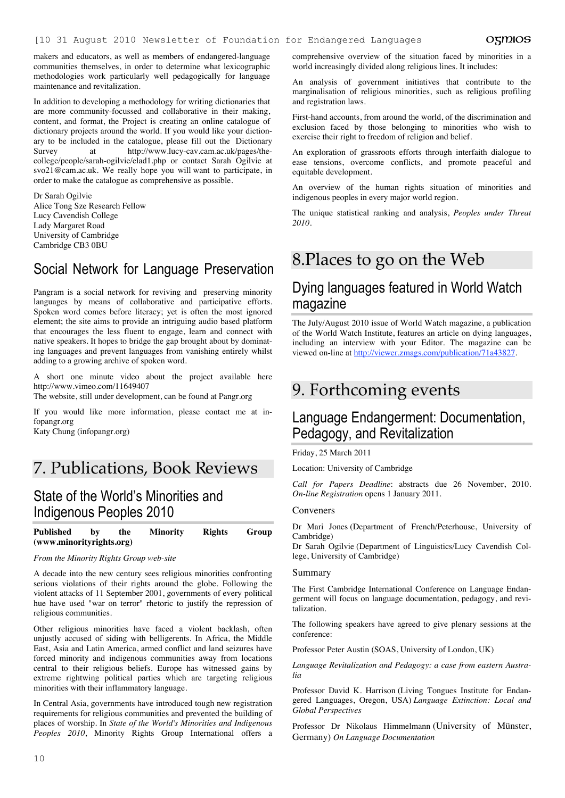makers and educators, as well as members of endangered-language communities themselves, in order to determine what lexicographic methodologies work particularly well pedagogically for language maintenance and revitalization.

In addition to developing a methodology for writing dictionaries that are more community-focussed and collaborative in their making, content, and format, the Project is creating an online catalogue of dictionary projects around the world. If you would like your dictionary to be included in the catalogue, please fill out the Dictionary Survey at http://www.lucy-cav.cam.ac.uk/pages/thecollege/people/sarah-ogilvie/elad1.php or contact Sarah Ogilvie at svo21@cam.ac.uk. We really hope you will want to participate, in order to make the catalogue as comprehensive as possible.

Dr Sarah Ogilvie Alice Tong Sze Research Fellow Lucy Cavendish College Lady Margaret Road University of Cambridge Cambridge CB3 0BU

# Social Network for Language Preservation

Pangram is a social network for reviving and preserving minority languages by means of collaborative and participative efforts. Spoken word comes before literacy; yet is often the most ignored element; the site aims to provide an intriguing audio based platform that encourages the less fluent to engage, learn and connect with native speakers. It hopes to bridge the gap brought about by dominating languages and prevent languages from vanishing entirely whilst adding to a growing archive of spoken word.

A short one minute video about the project available here http://www.vimeo.com/11649407

The website, still under development, can be found at Pangr.org

If you would like more information, please contact me at infopangr.org

Katy Chung (infopangr.org)

# 7. Publications, Book Reviews

### State of the World's Minorities and Indigenous Peoples 2010

### **Published by the Minority Rights Group (www.minorityrights.org)**

#### *From the Minority Rights Group web-site*

A decade into the new century sees religious minorities confronting serious violations of their rights around the globe. Following the violent attacks of 11 September 2001, governments of every political hue have used "war on terror" rhetoric to justify the repression of religious communities.

Other religious minorities have faced a violent backlash, often unjustly accused of siding with belligerents. In Africa, the Middle East, Asia and Latin America, armed conflict and land seizures have forced minority and indigenous communities away from locations central to their religious beliefs. Europe has witnessed gains by extreme rightwing political parties which are targeting religious minorities with their inflammatory language.

In Central Asia, governments have introduced tough new registration requirements for religious communities and prevented the building of places of worship. In *State of the World's Minorities and Indigenous Peoples 2010*, Minority Rights Group International offers a comprehensive overview of the situation faced by minorities in a world increasingly divided along religious lines. It includes:

An analysis of government initiatives that contribute to the marginalisation of religious minorities, such as religious profiling and registration laws.

First-hand accounts, from around the world, of the discrimination and exclusion faced by those belonging to minorities who wish to exercise their right to freedom of religion and belief.

An exploration of grassroots efforts through interfaith dialogue to ease tensions, overcome conflicts, and promote peaceful and equitable development.

An overview of the human rights situation of minorities and indigenous peoples in every major world region.

The unique statistical ranking and analysis, *Peoples under Threat 2010*.

# 8. Places to go on the Web

### Dying languages featured in World Watch magazine

The July/August 2010 issue of World Watch magazine, a publication of the World Watch Institute, features an article on dying languages, including an interview with your Editor. The magazine can be viewed on-line at http://viewer.zmags.com/publication/71a43827.

# 9. Forthcoming events

### Language Endangerment: Documentation, Pedagogy, and Revitalization

Friday, 25 March 2011

Location: University of Cambridge

*Call for Papers Deadline*: abstracts due 26 November, 2010. *On-line Registration* opens 1 January 2011.

### Conveners

Dr Mari Jones (Department of French/Peterhouse, University of Cambridge)

Dr Sarah Ogilvie (Department of Linguistics/Lucy Cavendish College, University of Cambridge)

#### Summary

The First Cambridge International Conference on Language Endangerment will focus on language documentation, pedagogy, and revitalization.

The following speakers have agreed to give plenary sessions at the conference:

Professor Peter Austin (SOAS, University of London, UK)

*Language Revitalization and Pedagogy: a case from eastern Australia*

Professor David K. Harrison (Living Tongues Institute for Endangered Languages, Oregon, USA) *Language Extinction: Local and Global Perspectives*

Professor Dr Nikolaus Himmelmann (University of Münster, Germany) *On Language Documentation*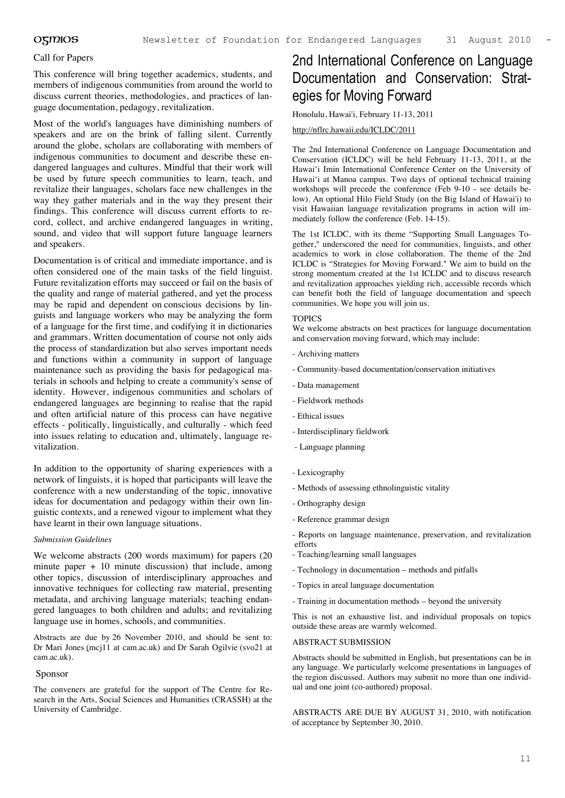### Call for Papers

This conference will bring together academics, students, and members of indigenous communities from around the world to discuss current theories, methodologies, and practices of language documentation, pedagogy, revitalization.

Most of the world's languages have diminishing numbers of speakers and are on the brink of falling silent. Currently around the globe, scholars are collaborating with members of indigenous communities to document and describe these endangered languages and cultures. Mindful that their work will be used by future speech communities to learn, teach, and revitalize their languages, scholars face new challenges in the way they gather materials and in the way they present their findings. This conference will discuss current efforts to record, collect, and archive endangered languages in writing, sound, and video that will support future language learners and speakers.

Documentation is of critical and immediate importance, and is often considered one of the main tasks of the field linguist. Future revitalization efforts may succeed or fail on the basis of the quality and range of material gathered, and yet the process may be rapid and dependent on conscious decisions by linguists and language workers who may be analyzing the form of a language for the first time, and codifying it in dictionaries and grammars. Written documentation of course not only aids the process of standardization but also serves important needs and functions within a community in support of language maintenance such as providing the basis for pedagogical materials in schools and helping to create a community's sense of identity. However, indigenous communities and scholars of endangered languages are beginning to realise that the rapid and often artificial nature of this process can have negative effects - politically, linguistically, and culturally - which feed into issues relating to education and, ultimately, language revitalization.

In addition to the opportunity of sharing experiences with a network of linguists, it is hoped that participants will leave the conference with a new understanding of the topic, innovative ideas for documentation and pedagogy within their own linguistic contexts, and a renewed vigour to implement what they have learnt in their own language situations.

#### *Submission Guidelines*

We welcome abstracts (200 words maximum) for papers (20 minute paper  $+10$  minute discussion) that include, among other topics, discussion of interdisciplinary approaches and innovative techniques for collecting raw material, presenting metadata, and archiving language materials; teaching endangered languages to both children and adults; and revitalizing language use in homes, schools, and communities.

Abstracts are due by 26 November 2010, and should be sent to: Dr Mari Jones (mcj11 at cam.ac.uk) and Dr Sarah Ogilvie (svo21 at cam.ac.uk).

#### Sponsor

The conveners are grateful for the support of The Centre for Research in the Arts, Social Sciences and Humanities (CRASSH) at the University of Cambridge.

# 2nd International Conference on Language Documentation and Conservation: Strategies for Moving Forward

Honolulu, Hawai'i, February 11-13, 2011

http://nflrc.hawaii.edu/ICLDC/2011

The 2nd International Conference on Language Documentation and Conservation (ICLDC) will be held February 11-13, 2011, at the Hawai'i Imin International Conference Center on the University of Hawai'i at Manoa campus. Two days of optional technical training workshops will precede the conference (Feb 9-10 - see details below). An optional Hilo Field Study (on the Big Island of Hawai'i) to visit Hawaiian language revitalization programs in action will immediately follow the conference (Feb. 14-15).

The 1st ICLDC, with its theme "Supporting Small Languages Together," underscored the need for communities, linguists, and other academics to work in close collaboration. The theme of the 2nd ICLDC is "Strategies for Moving Forward." We aim to build on the strong momentum created at the 1st ICLDC and to discuss research and revitalization approaches yielding rich, accessible records which can benefit both the field of language documentation and speech communities. We hope you will join us.

### **TOPICS**

We welcome abstracts on best practices for language documentation and conservation moving forward, which may include:

- Archiving matters
- Community-based documentation/conservation initiatives
- Data management
- Fieldwork methods
- Ethical issues
- Interdisciplinary fieldwork
- Language planning
- Lexicography
- Methods of assessing ethnolinguistic vitality
- Orthography design
- Reference grammar design
- Reports on language maintenance, preservation, and revitalization efforts
- Teaching/learning small languages
- Technology in documentation methods and pitfalls
- Topics in areal language documentation
- Training in documentation methods beyond the university

This is not an exhaustive list, and individual proposals on topics outside these areas are warmly welcomed.

### ABSTRACT SUBMISSION

Abstracts should be submitted in English, but presentations can be in any language. We particularly welcome presentations in languages of the region discussed. Authors may submit no more than one individual and one joint (co-authored) proposal.

ABSTRACTS ARE DUE BY AUGUST 31, 2010, with notification of acceptance by September 30, 2010.